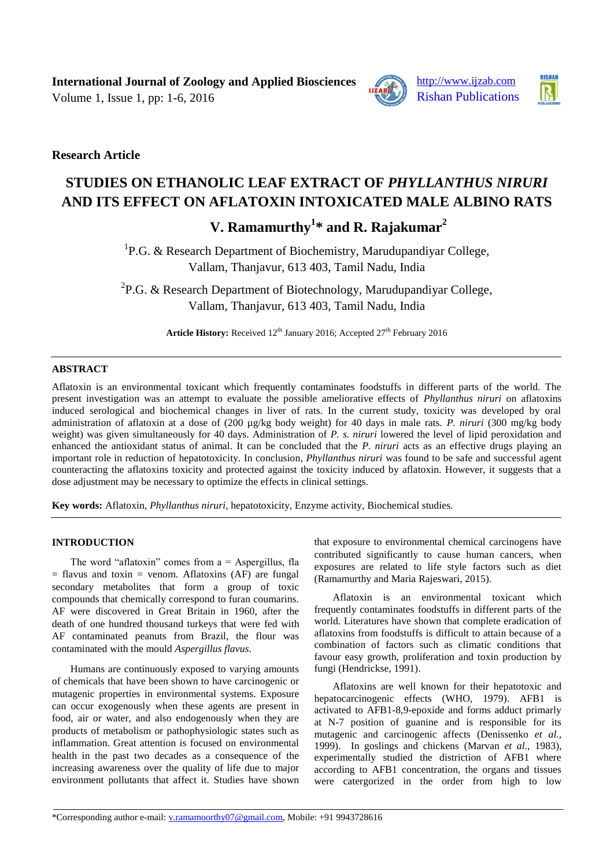Volume 1, Issue 1, pp:  $1-6$ ,  $2016$  Rishan Publications





**Research Article**

# **STUDIES ON ETHANOLIC LEAF EXTRACT OF** *PHYLLANTHUS NIRURI* **AND ITS EFFECT ON AFLATOXIN INTOXICATED MALE ALBINO RATS**

# **V. Ramamurthy<sup>1</sup> \* and R. Rajakumar<sup>2</sup>**

<sup>1</sup>P.G. & Research Department of Biochemistry, Marudupandiyar College, Vallam, Thanjavur, 613 403, Tamil Nadu, India

<sup>2</sup>P.G. & Research Department of Biotechnology, Marudupandiyar College, Vallam, Thanjavur, 613 403, Tamil Nadu, India

Article History: Received 12<sup>th</sup> January 2016; Accepted 27<sup>th</sup> February 2016

# **ABSTRACT**

Aflatoxin is an environmental toxicant which frequently contaminates foodstuffs in different parts of the world. The present investigation was an attempt to evaluate the possible ameliorative effects of *Phyllanthus niruri* on aflatoxins induced serological and biochemical changes in liver of rats. In the current study, toxicity was developed by oral administration of aflatoxin at a dose of (200 µg/kg body weight) for 40 days in male rats. *P. niruri* (300 mg/kg body weight) was given simultaneously for 40 days. Administration of *P. s. niruri* lowered the level of lipid peroxidation and enhanced the antioxidant status of animal. It can be concluded that the *P. niruri* acts as an effective drugs playing an important role in reduction of hepatotoxicity. In conclusion, *Phyllanthus niruri* was found to be safe and successful agent counteracting the aflatoxins toxicity and protected against the toxicity induced by aflatoxin. However, it suggests that a dose adjustment may be necessary to optimize the effects in clinical settings.

**Key words:** Aflatoxin, *Phyllanthus niruri*, hepatotoxicity, Enzyme activity, Biochemical studies.

# **INTRODUCTION**

The word "aflatoxin" comes from  $a =$  Aspergillus, fla  $=$  flavus and toxin  $=$  venom. Aflatoxins (AF) are fungal secondary metabolites that form a group of toxic compounds that chemically correspond to furan coumarins. AF were discovered in Great Britain in 1960, after the death of one hundred thousand turkeys that were fed with AF contaminated peanuts from Brazil, the flour was contaminated with the mould *Aspergillus flavus*.

Humans are continuously exposed to varying amounts of chemicals that have been shown to have carcinogenic or mutagenic properties in environmental systems. Exposure can occur exogenously when these agents are present in food, air or water, and also endogenously when they are products of metabolism or pathophysiologic states such as inflammation. Great attention is focused on environmental health in the past two decades as a consequence of the increasing awareness over the quality of life due to major environment pollutants that affect it. Studies have shown that exposure to environmental chemical carcinogens have contributed significantly to cause human cancers, when exposures are related to life style factors such as diet (Ramamurthy and Maria Rajeswari, 2015).

Aflatoxin is an environmental toxicant which frequently contaminates foodstuffs in different parts of the world. Literatures have shown that complete eradication of aflatoxins from foodstuffs is difficult to attain because of a combination of factors such as climatic conditions that favour easy growth, proliferation and toxin production by fungi (Hendrickse, 1991).

Aflatoxins are well known for their hepatotoxic and hepatocarcinogenic effects (WHO, 1979). AFB1 is activated to AFB1-8,9-epoxide and forms adduct primarly at N-7 position of guanine and is responsible for its mutagenic and carcinogenic affects (Denissenko *et al.,* 1999). In goslings and chickens (Marvan *et al.,* 1983), experimentally studied the distriction of AFB1 where according to AFB1 concentration, the organs and tissues were catergorized in the order from high to low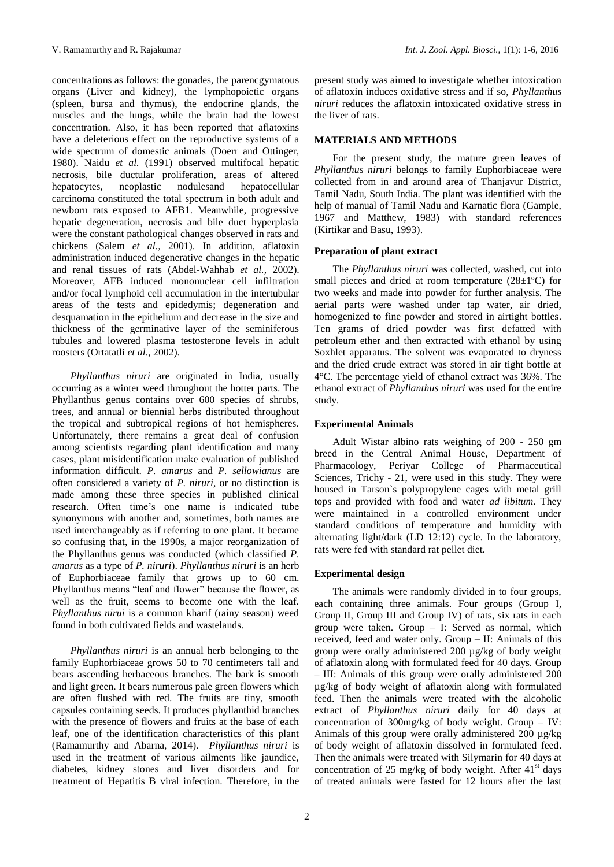concentrations as follows: the gonades, the parencgymatous organs (Liver and kidney), the lymphopoietic organs (spleen, bursa and thymus), the endocrine glands, the muscles and the lungs, while the brain had the lowest concentration. Also, it has been reported that aflatoxins have a deleterious effect on the reproductive systems of a wide spectrum of domestic animals (Doerr and Ottinger, 1980). Naidu *et al.* (1991) observed multifocal hepatic necrosis, bile ductular proliferation, areas of altered hepatocytes, neoplastic nodulesand hepatocellular carcinoma constituted the total spectrum in both adult and newborn rats exposed to AFB1. Meanwhile, progressive hepatic degeneration, necrosis and bile duct hyperplasia were the constant pathological changes observed in rats and chickens (Salem *et al.,* 2001). In addition, aflatoxin administration induced degenerative changes in the hepatic and renal tissues of rats (Abdel-Wahhab *et al.,* 2002). Moreover, AFB induced mononuclear cell infiltration and/or focal lymphoid cell accumulation in the intertubular areas of the tests and epidedymis; degeneration and desquamation in the epithelium and decrease in the size and thickness of the germinative layer of the seminiferous tubules and lowered plasma testosterone levels in adult roosters (Ortatatli *et al.,* 2002).

*Phyllanthus niruri* are originated in India, usually occurring as a winter weed throughout the hotter parts. The Phyllanthus genus contains over 600 species of shrubs, trees, and annual or biennial herbs distributed throughout the tropical and subtropical regions of hot hemispheres. Unfortunately, there remains a great deal of confusion among scientists regarding plant identification and many cases, plant misidentification make evaluation of published information difficult. *P. amarus* and *P. sellowianus* are often considered a variety of *P. niruri*, or no distinction is made among these three species in published clinical research. Often time's one name is indicated tube synonymous with another and, sometimes, both names are used interchangeably as if referring to one plant. It became so confusing that, in the 1990s, a major reorganization of the Phyllanthus genus was conducted (which classified *P. amarus* as a type of *P. niruri*). *Phyllanthus niruri* is an herb of Euphorbiaceae family that grows up to 60 cm. Phyllanthus means "leaf and flower" because the flower, as well as the fruit, seems to become one with the leaf. *Phyllanthus nirui* is a common kharif (rainy season) weed found in both cultivated fields and wastelands.

*Phyllanthus niruri* is an annual herb belonging to the family Euphorbiaceae grows 50 to 70 centimeters tall and bears ascending herbaceous branches. The bark is smooth and light green. It bears numerous pale green flowers which are often flushed with red. The fruits are tiny, smooth capsules containing seeds. It produces phyllanthid branches with the presence of flowers and fruits at the base of each leaf, one of the identification characteristics of this plant (Ramamurthy and Abarna, 2014). *Phyllanthus niruri* is used in the treatment of various ailments like jaundice, diabetes, kidney stones and liver disorders and for treatment of Hepatitis B viral infection. Therefore, in the

present study was aimed to investigate whether intoxication of aflatoxin induces oxidative stress and if so, *Phyllanthus niruri* reduces the aflatoxin intoxicated oxidative stress in the liver of rats.

## **MATERIALS AND METHODS**

For the present study, the mature green leaves of *Phyllanthus niruri* belongs to family Euphorbiaceae were collected from in and around area of Thanjavur District, Tamil Nadu, South India. The plant was identified with the help of manual of Tamil Nadu and Karnatic flora (Gample, 1967 and Matthew, 1983) with standard references (Kirtikar and Basu, 1993).

#### **Preparation of plant extract**

The *Phyllanthus niruri* was collected, washed, cut into small pieces and dried at room temperature  $(28\pm1\degree C)$  for two weeks and made into powder for further analysis. The aerial parts were washed under tap water, air dried, homogenized to fine powder and stored in airtight bottles. Ten grams of dried powder was first defatted with petroleum ether and then extracted with ethanol by using Soxhlet apparatus. The solvent was evaporated to dryness and the dried crude extract was stored in air tight bottle at 4°C. The percentage yield of ethanol extract was 36%. The ethanol extract of *Phyllanthus niruri* was used for the entire study.

#### **Experimental Animals**

Adult Wistar albino rats weighing of 200 - 250 gm breed in the Central Animal House, Department of Pharmacology, Periyar College of Pharmaceutical Sciences, Trichy - 21, were used in this study. They were housed in Tarson`s polypropylene cages with metal grill tops and provided with food and water *ad libitum*. They were maintained in a controlled environment under standard conditions of temperature and humidity with alternating light/dark (LD 12:12) cycle. In the laboratory, rats were fed with standard rat pellet diet.

#### **Experimental design**

The animals were randomly divided in to four groups, each containing three animals. Four groups (Group I, Group II, Group III and Group IV) of rats, six rats in each group were taken. Group – I: Served as normal, which received, feed and water only. Group – II: Animals of this group were orally administered 200 µg/kg of body weight of aflatoxin along with formulated feed for 40 days. Group – III: Animals of this group were orally administered 200 µg/kg of body weight of aflatoxin along with formulated feed. Then the animals were treated with the alcoholic extract of *Phyllanthus niruri* daily for 40 days at concentration of 300mg/kg of body weight. Group – IV: Animals of this group were orally administered 200 µg/kg of body weight of aflatoxin dissolved in formulated feed. Then the animals were treated with Silymarin for 40 days at concentration of 25 mg/kg of body weight. After  $41<sup>st</sup>$  days of treated animals were fasted for 12 hours after the last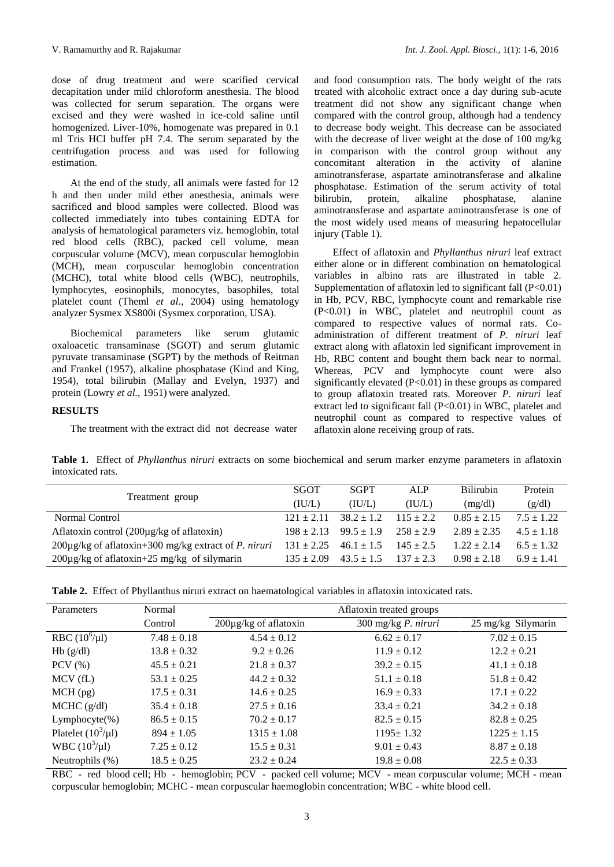dose of drug treatment and were scarified cervical decapitation under mild chloroform anesthesia. The blood was collected for serum separation. The organs were excised and they were washed in ice-cold saline until homogenized. Liver-10%, homogenate was prepared in 0.1 ml Tris HCl buffer pH 7.4. The serum separated by the centrifugation process and was used for following estimation.

At the end of the study, all animals were fasted for 12 h and then under mild ether anesthesia, animals were sacrificed and blood samples were collected. Blood was collected immediately into tubes containing EDTA for analysis of hematological parameters viz. hemoglobin, total red blood cells (RBC), packed cell volume, mean corpuscular volume (MCV), mean corpuscular hemoglobin (MCH), mean corpuscular hemoglobin concentration (MCHC), total white blood cells (WBC), neutrophils, lymphocytes, eosinophils, monocytes, basophiles, total platelet count (Theml *et al.,* 2004) using hematology analyzer Sysmex XS800i (Sysmex corporation, USA).

Biochemical parameters like serum glutamic oxaloacetic transaminase (SGOT) and serum glutamic pyruvate transaminase (SGPT) by the methods of Reitman and Frankel (1957), alkaline phosphatase (Kind and King, 1954), total bilirubin (Mallay and Evelyn, 1937) and protein (Lowry *et al.,* 1951) were analyzed.

## **RESULTS**

The treatment with the extract did not decrease water

and food consumption rats. The body weight of the rats treated with alcoholic extract once a day during sub-acute treatment did not show any significant change when compared with the control group, although had a tendency to decrease body weight. This decrease can be associated with the decrease of liver weight at the dose of 100 mg/kg in comparison with the control group without any concomitant alteration in the activity of alanine aminotransferase, aspartate aminotransferase and alkaline phosphatase. Estimation of the serum activity of total<br>bilirubin, protein, alkaline phosphatase. alanine bilirubin, protein, alkaline phosphatase, aminotransferase and aspartate aminotransferase is one of the most widely used means of measuring hepatocellular injury (Table 1).

Effect of aflatoxin and *Phyllanthus niruri* leaf extract either alone or in different combination on hematological variables in albino rats are illustrated in table 2. Supplementation of aflatoxin led to significant fall (P<0.01) in Hb, PCV, RBC, lymphocyte count and remarkable rise (P<0.01) in WBC, platelet and neutrophil count as compared to respective values of normal rats. Coadministration of different treatment of *P. niruri* leaf extract along with aflatoxin led significant improvement in Hb, RBC content and bought them back near to normal. Whereas, PCV and lymphocyte count were also significantly elevated (P<0.01) in these groups as compared to group aflatoxin treated rats. Moreover *P. niruri* leaf extract led to significant fall (P<0.01) in WBC, platelet and neutrophil count as compared to respective values of aflatoxin alone receiving group of rats.

**Table 1.** Effect of *Phyllanthus niruri* extracts on some biochemical and serum marker enzyme parameters in aflatoxin intoxicated rats.

|                                                                  | <b>SGOT</b>    | <b>SGPT</b>    | <b>ALP</b>    | <b>Bilirubin</b> | Protein        |
|------------------------------------------------------------------|----------------|----------------|---------------|------------------|----------------|
| Treatment group                                                  | (IU/L)         | (IU/L)         | (IU/L)        | (mg/dl)          | (g/dl)         |
| Normal Control                                                   | $121 + 2.11$   | $38.2 + 1.2$   | $115 + 2.2$   | $0.85 \pm 2.15$  | $7.5 \pm 1.22$ |
| Aflatoxin control $(200\mu g/kg)$ of aflatoxin)                  | $198 \pm 2.13$ | $99.5 \pm 1.9$ | $258 + 2.9$   | $2.89 + 2.35$    | $4.5 + 1.18$   |
| $200\mu$ g/kg of aflatoxin+300 mg/kg extract of <i>P. niruri</i> | $131 \pm 2.25$ | $46.1 \pm 1.5$ | $145 \pm 2.5$ | $1.22 + 2.14$    | $6.5 + 1.32$   |
| $200\mu$ g/kg of aflatoxin+25 mg/kg of silymarin                 | $135 + 2.09$   | $43.5 \pm 1.5$ | $137 \pm 2.3$ | $0.98 \pm 2.18$  | $6.9 + 1.41$   |

| Parameters              | Normal          | Aflatoxin treated groups   |                              |                    |  |  |
|-------------------------|-----------------|----------------------------|------------------------------|--------------------|--|--|
|                         | Control         | $200\mu$ g/kg of aflatoxin | $300$ mg/kg <i>P. niruri</i> | 25 mg/kg Silymarin |  |  |
| RBC $(10^6/\mu l)$      | $7.48 \pm 0.18$ | $4.54 \pm 0.12$            | $6.62 \pm 0.17$              | $7.02 \pm 0.15$    |  |  |
| Hb(g/dl)                | $13.8 \pm 0.32$ | $9.2 \pm 0.26$             | $11.9 \pm 0.12$              | $12.2 \pm 0.21$    |  |  |
| $PCV$ $(\% )$           | $45.5 \pm 0.21$ | $21.8 \pm 0.37$            | $39.2 \pm 0.15$              | $41.1 \pm 0.18$    |  |  |
| MCV(fL)                 | $53.1 \pm 0.25$ | $44.2 \pm 0.32$            | $51.1 \pm 0.18$              | $51.8 \pm 0.42$    |  |  |
| $MCH$ (pg)              | $17.5 \pm 0.31$ | $14.6 \pm 0.25$            | $16.9 \pm 0.33$              | $17.1 \pm 0.22$    |  |  |
| $MCHC$ (g/dl)           | $35.4 \pm 0.18$ | $27.5 \pm 0.16$            | $33.4 \pm 0.21$              | $34.2 \pm 0.18$    |  |  |
| $Lymphocyte(\% )$       | $86.5 \pm 0.15$ | $70.2 \pm 0.17$            | $82.5 \pm 0.15$              | $82.8 \pm 0.25$    |  |  |
| Platelet $(10^3/\mu l)$ | $894 \pm 1.05$  | $1315 \pm 1.08$            | $1195 \pm 1.32$              | $1225 \pm 1.15$    |  |  |
| WBC $(10^3/\mu l)$      | $7.25 \pm 0.12$ | $15.5 \pm 0.31$            | $9.01 \pm 0.43$              | $8.87 \pm 0.18$    |  |  |
| Neutrophils (%)         | $18.5 \pm 0.25$ | $23.2 \pm 0.24$            | $19.8 \pm 0.08$              | $22.5 \pm 0.33$    |  |  |

RBC - red blood cell; Hb - hemoglobin; PCV - packed cell volume; MCV - mean corpuscular volume; MCH - mean corpuscular hemoglobin; MCHC - mean corpuscular haemoglobin concentration; WBC - white blood cell.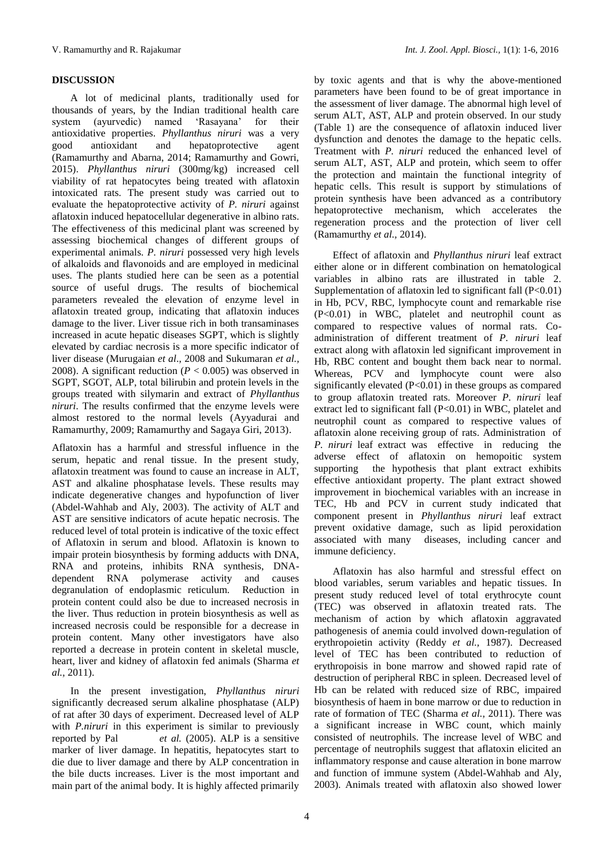# **DISCUSSION**

A lot of medicinal plants, traditionally used for thousands of years, by the Indian traditional health care<br>system (ayurvedic) named 'Rasavana' for their system (ayurvedic) named 'Rasayana' for their antioxidative properties. *Phyllanthus niruri* was a very good antioxidant and hepatoprotective agent (Ramamurthy and Abarna, 2014; Ramamurthy and Gowri, 2015). *Phyllanthus niruri* (300mg/kg) increased cell viability of rat hepatocytes being treated with aflatoxin intoxicated rats. The present study was carried out to evaluate the hepatoprotective activity of *P. niruri* against aflatoxin induced hepatocellular degenerative in albino rats. The effectiveness of this medicinal plant was screened by assessing biochemical changes of different groups of experimental animals. *P. niruri* possessed very high levels of alkaloids and flavonoids and are employed in medicinal uses. The plants studied here can be seen as a potential source of useful drugs. The results of biochemical parameters revealed the elevation of enzyme level in aflatoxin treated group, indicating that aflatoxin induces damage to the liver. Liver tissue rich in both transaminases increased in acute hepatic diseases SGPT, which is slightly elevated by cardiac necrosis is a more specific indicator of liver disease (Murugaian *et al*., 2008 and Sukumaran *et al.,*  2008). A significant reduction (*P* < 0.005) was observed in SGPT, SGOT, ALP, total bilirubin and protein levels in the groups treated with silymarin and extract of *Phyllanthus niruri*. The results confirmed that the enzyme levels were almost restored to the normal levels (Ayyadurai and Ramamurthy, 2009; Ramamurthy and Sagaya Giri, 2013).

Aflatoxin has a harmful and stressful influence in the serum, hepatic and renal tissue. In the present study, aflatoxin treatment was found to cause an increase in ALT, AST and alkaline phosphatase levels. These results may indicate degenerative changes and hypofunction of liver (Abdel-Wahhab and [Aly,](http://pubs.acs.org/action/doSearch?text1=Aly+Soher+E&field1=Contrib) 2003). The activity of ALT and AST are sensitive indicators of acute hepatic necrosis. The reduced level of total protein is indicative of the toxic effect of Aflatoxin in serum and blood. Aflatoxin is known to impair protein biosynthesis by forming adducts with DNA, RNA and proteins, inhibits RNA synthesis, DNAdependent RNA polymerase activity and causes degranulation of endoplasmic reticulum. Reduction in protein content could also be due to increased necrosis in the liver. Thus reduction in protein biosynthesis as well as increased necrosis could be responsible for a decrease in protein content. Many other investigators have also reported a decrease in protein content in skeletal muscle, heart, liver and kidney of aflatoxin fed animals (Sharma *et al.,* 2011).

In the present investigation, *Phyllanthus niruri* significantly decreased serum alkaline phosphatase (ALP) of rat after 30 days of experiment. Decreased level of ALP with *P.niruri* in this experiment is similar to previously reported by Pal *et al.* (2005). ALP is a sensitive marker of liver damage. In hepatitis, hepatocytes start to die due to liver damage and there by ALP concentration in the bile ducts increases. Liver is the most important and main part of the animal body. It is highly affected primarily

by toxic agents and that is why the above-mentioned parameters have been found to be of great importance in the assessment of liver damage. The abnormal high level of serum ALT, AST, ALP and protein observed. In our study (Table 1) are the consequence of aflatoxin induced liver dysfunction and denotes the damage to the hepatic cells. Treatment with *P. niruri* reduced the enhanced level of serum ALT, AST, ALP and protein, which seem to offer the protection and maintain the functional integrity of hepatic cells. This result is support by stimulations of protein synthesis have been advanced as a contributory hepatoprotective mechanism, which accelerates the regeneration process and the protection of liver cell (Ramamurthy *et al.,* 2014).

Effect of aflatoxin and *Phyllanthus niruri* leaf extract either alone or in different combination on hematological variables in albino rats are illustrated in table 2. Supplementation of aflatoxin led to significant fall  $(P<0.01)$ in Hb, PCV, RBC, lymphocyte count and remarkable rise (P<0.01) in WBC, platelet and neutrophil count as compared to respective values of normal rats. Coadministration of different treatment of *P. niruri* leaf extract along with aflatoxin led significant improvement in Hb, RBC content and bought them back near to normal. Whereas, PCV and lymphocyte count were also significantly elevated (P<0.01) in these groups as compared to group aflatoxin treated rats. Moreover *P. niruri* leaf extract led to significant fall (P<0.01) in WBC, platelet and neutrophil count as compared to respective values of aflatoxin alone receiving group of rats. Administration of *P. niruri* leaf extract was effective in reducing the adverse effect of aflatoxin on hemopoitic system supporting the hypothesis that plant extract exhibits effective antioxidant property. The plant extract showed improvement in biochemical variables with an increase in TEC, Hb and PCV in current study indicated that component present in *Phyllanthus niruri* leaf extract prevent oxidative damage, such as lipid peroxidation associated with many diseases, including cancer and immune deficiency.

Aflatoxin has also harmful and stressful effect on blood variables, serum variables and hepatic tissues. In present study reduced level of total erythrocyte count (TEC) was observed in aflatoxin treated rats. The mechanism of action by which aflatoxin aggravated pathogenesis of anemia could involved down-regulation of erythropoietin activity (Reddy *et al.,* 1987). Decreased level of TEC has been contributed to reduction of erythropoisis in bone marrow and showed rapid rate of destruction of peripheral RBC in spleen. Decreased level of Hb can be related with reduced size of RBC, impaired biosynthesis of haem in bone marrow or due to reduction in rate of formation of TEC (Sharma *et al.,* 2011). There was a significant increase in WBC count, which mainly consisted of neutrophils. The increase level of WBC and percentage of neutrophils suggest that aflatoxin elicited an inflammatory response and cause alteration in bone marrow and function of immune system (Abdel-Wahhab and [Aly,](http://pubs.acs.org/action/doSearch?text1=Aly+Soher+E&field1=Contrib) 2003). Animals treated with aflatoxin also showed lower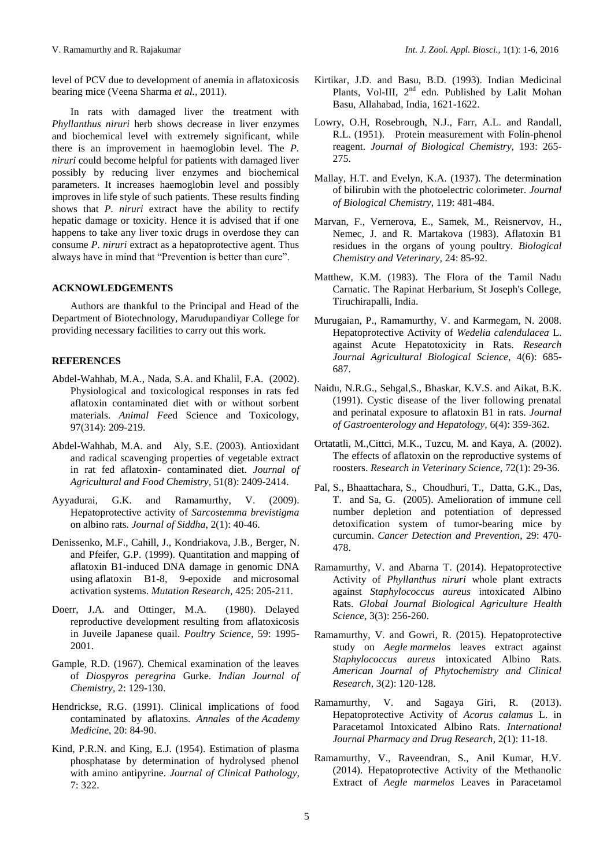level of PCV due to development of anemia in aflatoxicosis bearing mice (Veena Sharma *et al.,* 2011).

In rats with damaged liver the treatment with *Phyllanthus niruri* herb shows decrease in liver enzymes and biochemical level with extremely significant, while there is an improvement in haemoglobin level. The *P. niruri* could become helpful for patients with damaged liver possibly by reducing liver enzymes and biochemical parameters. It increases haemoglobin level and possibly improves in life style of such patients. These results finding shows that *P. niruri* extract have the ability to rectify hepatic damage or toxicity. Hence it is advised that if one happens to take any liver toxic drugs in overdose they can consume *P. niruri* extract as a hepatoprotective agent. Thus always have in mind that "Prevention is better than cure".

# **ACKNOWLEDGEMENTS**

Authors are thankful to the Principal and Head of the Department of Biotechnology, Marudupandiyar College for providing necessary facilities to carry out this work.

# **REFERENCES**

- Abdel-Wahhab, M.A., Nada, S.A. and Khalil, F.A. (2002). Physiological and toxicological responses in rats fed aflatoxin contaminated diet with or without sorbent materials. *Animal Fee*d Science and Toxicology, 97(314): 209-219.
- Abdel-Wahhab, M.A. and [Aly,](http://pubs.acs.org/action/doSearch?text1=Aly+Soher+E&field1=Contrib) S.E. (2003). Antioxidant and radical scavenging properties of vegetable extract in rat fed aflatoxin- contaminated diet. *Journal of Agricultural and Food Chemistry,* 51(8): 2409-2414.
- Ayyadurai, G.K. and Ramamurthy, V. (2009). Hepatoprotective activity of *Sarcostemma brevistigma*  on albino rats*. Journal of Siddha*, 2(1): 40-46.
- Denissenko, M.F., Cahill, J., Kondriakova, J.B., Berger, N. and Pfeifer, G.P. (1999). Quantitation and mapping of aflatoxin B1-induced DNA damage in genomic DNA using aflatoxin B1-8, 9-epoxide and microsomal activation systems. *Mutation Research,* 425: 205-211.
- Doerr, J.A. and Ottinger, M.A. (1980). Delayed reproductive development resulting from aflatoxicosis in Juveile Japanese quail. *Poultry Science,* 59: 1995- 2001.
- Gample, R.D. (1967). Chemical examination of the leaves of *Diospyros peregrina* Gurke. *Indian Journal of Chemistry*, 2: 129-130.
- Hendrickse, R.G. (1991). Clinical implications of food contaminated by aflatoxins. *Annales* of *the Academy Medicine*, 20: 84-90.
- Kind, P.R.N. and King, E.J. (1954). Estimation of plasma phosphatase by determination of hydrolysed phenol with amino antipyrine. *Journal of Clinical Pathology,* 7: 322.
- Kirtikar, J.D. and Basu, B.D. (1993). Indian Medicinal Plants, Vol-III, 2<sup>nd</sup> edn. Published by Lalit Mohan Basu, Allahabad, India, 1621-1622.
- Lowry, O.H, Rosebrough, N.J., Farr, A.L. and Randall, R.L. (1951). Protein measurement with Folin-phenol reagent. *Journal of Biological Chemistry,* 193: 265- 275.
- Mallay, H.T. and Evelyn, K.A. (1937). The determination of bilirubin with the photoelectric colorimeter. *Journal of Biological Chemistry,* 119: 481-484.
- Marvan, F., Vernerova, E., Samek, M., Reisnervov, H., Nemec, J. and R. Martakova (1983). Aflatoxin B1 residues in the organs of young poultry. *Biological Chemistry and Veterinary,* 24: 85-92.
- Matthew, K.M. (1983). The Flora of the Tamil Nadu Carnatic. The Rapinat Herbarium, St Joseph's College, Tiruchirapalli, India.
- Murugaian, P., Ramamurthy, V. and Karmegam, N. 2008. Hepatoprotective Activity of *Wedelia calendulacea* L. against Acute Hepatotoxicity in Rats. *Research Journal Agricultural Biological Science,* 4(6): 685- 687.
- Naidu, N.R.G., Sehgal,S., Bhaskar, K.V.S. and Aikat, B.K. (1991). Cystic disease of the liver following prenatal and perinatal exposure to aflatoxin B1 in rats. *Journal of Gastroenterology and Hepatology,* 6(4): 359-362.
- Ortatatli, M.,Cittci, M.K., Tuzcu, M. and Kaya, A. (2002). The effects of aflatoxin on the reproductive systems of roosters. *Research in Veterinary Science,* 72(1): 29-36.
- Pal, S., Bhaattachara, S., Choudhuri, T., Datta, G.K., Das, T. and Sa, G. (2005). Amelioration of immune cell number depletion and potentiation of depressed detoxification system of tumor-bearing mice by curcumin. *Cancer Detection and Prevention*, 29: 470- 478.
- Ramamurthy, V. and Abarna T. (2014). Hepatoprotective Activity of *Phyllanthus niruri* whole plant extracts against *Staphylococcus aureus* intoxicated Albino Rats. *Global Journal Biological Agriculture Health Science,* 3(3): 256-260.
- Ramamurthy, V. and Gowri, R. (2015). Hepatoprotective study on *Aegle marmelos* leaves extract against *Staphylococcus aureus* intoxicated Albino Rats. *American Journal of Phytochemistry and Clinical Research,* 3(2): 120-128.
- Ramamurthy, V. and Sagaya Giri, R. (2013). Hepatoprotective Activity of *Acorus calamus* L. in Paracetamol Intoxicated Albino Rats. *International Journal Pharmacy and Drug Research*, 2(1): 11-18.
- Ramamurthy, V., Raveendran, S., Anil Kumar, H.V. (2014). Hepatoprotective Activity of the Methanolic Extract of *Aegle marmelos* Leaves in Paracetamol